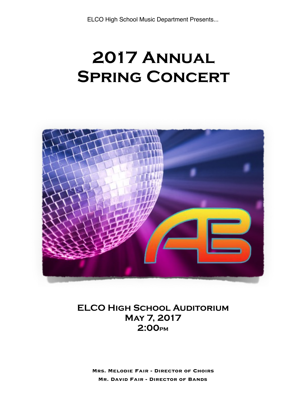# **2017 Annual SPRING CONCERT**



# **ELCO High School Auditorium May 7, 2017 2:00PM**

**Mrs. Melodie Fair - Director of Choirs Mr. David Fair - Director of Bands**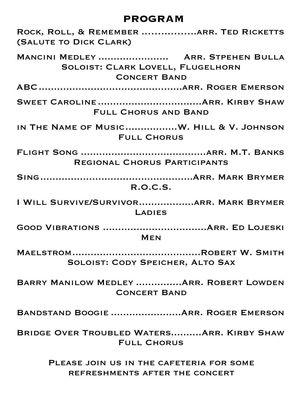# **PROGRAM**

| ROCK, ROLL, & REMEMBER ARR. TED RICKETTS<br>(SALUTE TO DICK CLARK)                             |
|------------------------------------------------------------------------------------------------|
| MANCINI MEDLEY  ARR. STPEHEN BULLA<br>SOLOIST: CLARK LOVELL, FLUGELHORN<br><b>CONCERT BAND</b> |
|                                                                                                |
| <b>FULL CHORUS AND BAND</b>                                                                    |
| IN THE NAME OF MUSICW. HILL & V. JOHNSON<br><b>FULL CHORUS</b>                                 |
| REGIONAL CHORUS PARTICIPANTS                                                                   |
| R.O.C.S.                                                                                       |
| I WILL SURVIVE/SURVIVORARR. MARK BRYMER<br>LADIES                                              |
| <b>MEN</b>                                                                                     |
| SOLOIST: CODY SPEICHER, ALTO SAX                                                               |
| BARRY MANILOW MEDLEY  ARR. ROBERT LOWDEN<br><b>CONCERT BAND</b>                                |
| BANDSTAND BOOGIE  ARR. ROGER EMERSON                                                           |
| BRIDGE OVER TROUBLED WATERS ARR. KIRBY SHAW<br><b>FULL CHORUS</b>                              |
| PLEASE JOIN US IN THE CAFETERIA FOR SOME<br>REFRESHMENTS AFTER THE CONCERT                     |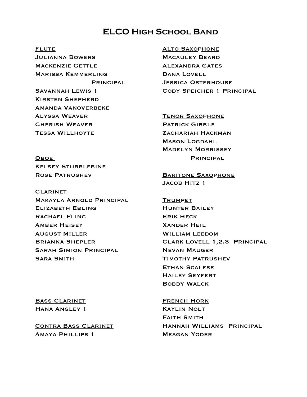# **ELCO High School Band**

**FLUTE** Julianna Bowers Mackenzie Gettle Marissa Kemmerling **PRINCIPAL** Savannah Lewis 1 Kirsten Shepherd Amanda Vanoverbeke Alyssa Weaver Cherish Weaver Tessa Willhoyte

Alto Saxophone Macauley Beard Alexandra Gates Dana Lovell Jessica Osterhouse Cody Speicher 1 Principal

Tenor Saxophone Patrick Gibble ZACHARIAH HACKMAN Mason Logdahl Madelyn Morrissey **PRINCIPAL** 

**OBOE KELSEY STUBBLEBINE** Rose Patrushev

**CLARINET** Makayla Arnold Principal Elizabeth Ebling RACHAEL FLING Amber Heisey August Miller Brianna Shepler Sarah Simion Principal Sara Smith

**BARITONE SAXOPHONE** Jacob Hitz 1

**TRUMPET** Hunter Bailey Erik Heck Xander Heil William Leedom Clark Lovell 1,2,3 Principal Nevan Mauger Timothy Patrushev Ethan Scalese Hailey Seyfert Bobby Walck

Bass Clarinet Hana Angley 1

Contra Bass Clarinet Amaya Phillips 1

French Horn Kaylin Nolt Faith Smith Hannah Williams Principal Meagan Yoder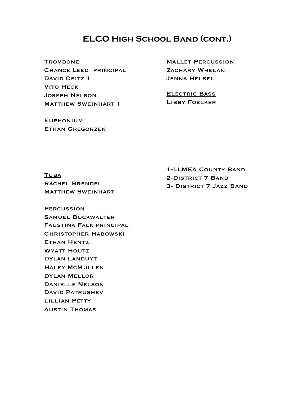# **ELCO High School Band (cont.)**

**TROMBONE** 

Chance Leed principal DAVID DEITZ 1 **VITO HECK** Joseph Nelson **MATTHEW SWEINHART 1** 

ZACHARY WHELAN JENNA HELSEL

Mallet Percussion

Electric Bass Libby Foelker

EUPHONIUM Ethan Gregorzek

**TUBA** Rachel Brendel **MATTHEW SWEINHART** 

1-LLMEA County Band 2-District 7 Band 3- District 7 Jazz Band

**PERCUSSION** Samuel Buckwalter Faustina Falk principal Christopher Habowski Ethan Hentz WYATT HOUTZ Dylan Landuyt Haley McMullen Dylan Mellor Danielle Nelson David Patrushev LILLIAN PETTY Austin Thomas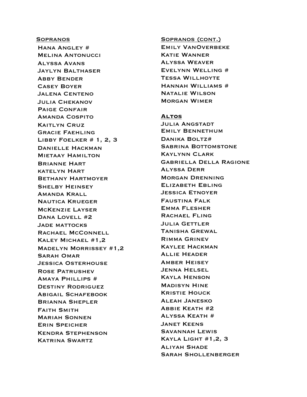#### **SOPRANOS**

Hana Angley # Melina Antonucci Alyssa Avans Jaylyn Balthaser Abby Bender Casey Boyer Jalena Centeno Julia Chekanov Paige Confair Amanda Cospito Kaitlyn Cruz Gracie Faehling Libby Foelker # 1, 2, 3 Danielle Hackman **MIETAAY HAMILTON** Brianne Hart katelyn Hart Bethany Hartmoyer Shelby Heinsey Amanda Krall Nautica Krueger McKenzie Layser DANA LOVELL #2 Jade mattocks RACHAEL MCCONNELL Kaley Michael #1,2 Madelyn Morrissey #1,2 Sarah Omar Jessica Osterhouse Rose Patrushev Amaya Phillips # Destiny Rodriguez Abigail Schafebook Brianna Shepler Faith Smith Mariah Sonnen Erin Speicher Kendra Stephenson Katrina Swartz

#### Sopranos (cont.)

Emily VanOverbeke Katie Wanner Alyssa Weaver Evelynn Welling # Tessa Willhoyte Hannah Williams # Natalie Wilson Morgan Wimer

#### **Altos**

Julia Angstadt Emily Bennethum Danika Boltz# **SABRINA BOTTOMSTONE** Kaylynn Clark Gabriella Della Ragione Alyssa Derr Morgan Drenning Elizabeth Ebling Jessica Etnoyer Faustina Falk Emma Flesher RACHAEL FLING Julia Gettler Tanisha Grewal Rimma Grinev Kaylee Hackman Allie Header Amber Heisey Jenna Helsel Kayla Henson Madisyn Hine Kristie Houck Aleah Janesko Abbie Keath #2 Alyssa Keath # Janet Keens Savannah Lewis Kayla Light #1,2, 3 Aliyah Shade Sarah Shollenberger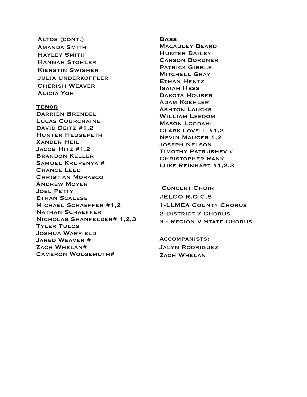#### ALTOS (CONT.)

Amanda Smith Hayley Smith Hannah Stohler Kierstin Swisher Julia Underkoffler Cherish Weaver Alicia Yoh

#### **Tenor**

Darrien Brendel LUCAS COURCHAINE DAVID DEITZ #1,2 Hunter Hedgepeth Xander Heil JACOB HITZ #1,2 Brandon Keller Samuel Krupenya # Chance Leed Christian Morasco Andrew Moyer Joel Petty Ethan Scalese Michael Schaeffer #1,2 Nathan Schaeffer Nicholas Shanfelder# 1,2,3 Tyler Tulos Joshua Warfield Jared Weaver # Zach Whelan# Cameron Wolgemuth#

#### **Bass**

Macauley Beard Hunter Bailey Carson Bordner Patrick Gibble **MITCHELL GRAY** Ethan Hentz Isaiah Hess Dakota Houser Adam Koehler Ashton Laucks William Leedom Mason Logdahl Clark Lovell #1,2 Nevin Mauger 1,2 Joseph Nelson Timothy Patrushev # Christopher Rank Luke Reinhart #1,2,3

### Concert Choir #ELCO R.O.C.S. 1-LLMEA County Chorus 2-District 7 Chorus 3 - Region V State Chorus

Accompanists: Jalyn Rodriguez ZACH WHELAN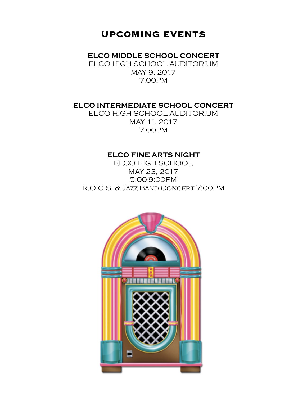# **UPCOMING EVENTS**

**ELCO MIDDLE SCHOOL CONCERT** 

ELCO HIGH SCHOOL AUDITORIUM MAY 9. 2017 7:00PM

### **ELCO INTERMEDIATE SCHOOL CONCERT**

ELCO HIGH SCHOOL AUDITORIUM MAY 11, 2017 7:00PM

### **ELCO FINE ARTS NIGHT**

ELCO HIGH SCHOOL MAY 23, 2017 5:00-9:00PM R.O.C.S. & Jazz Band Concert 7:00PM